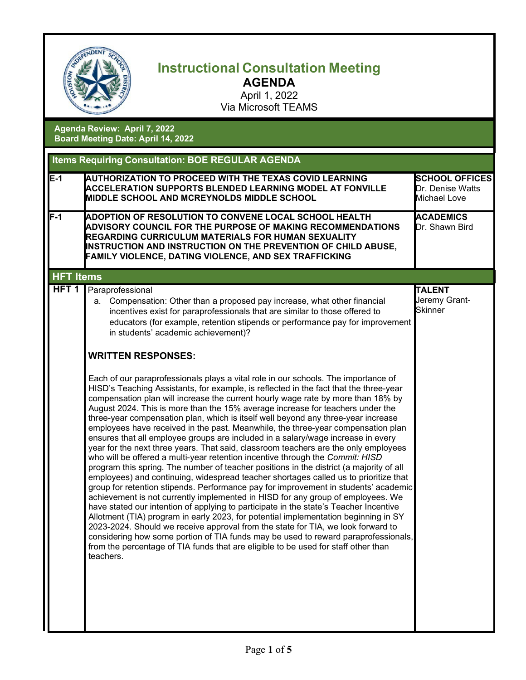

## **Instructional Consultation Meeting AGENDA**

April 1, 2022 Via Microsoft TEAMS

**Agenda Review: April 7, 2022 Board Meeting Date: April 14, 2022**

| <b>Items Requiring Consultation: BOE REGULAR AGENDA</b> |                                                                                                                                                                                                                                                                                                                                                                                                                                                                                                                                                                                                                                                                                                                                                                                                                                                                                                                                                                                                                                                                                                                                                                                                                                                                                                                                                                                                                                                                                                                                                                                                                  |                                                           |  |  |
|---------------------------------------------------------|------------------------------------------------------------------------------------------------------------------------------------------------------------------------------------------------------------------------------------------------------------------------------------------------------------------------------------------------------------------------------------------------------------------------------------------------------------------------------------------------------------------------------------------------------------------------------------------------------------------------------------------------------------------------------------------------------------------------------------------------------------------------------------------------------------------------------------------------------------------------------------------------------------------------------------------------------------------------------------------------------------------------------------------------------------------------------------------------------------------------------------------------------------------------------------------------------------------------------------------------------------------------------------------------------------------------------------------------------------------------------------------------------------------------------------------------------------------------------------------------------------------------------------------------------------------------------------------------------------------|-----------------------------------------------------------|--|--|
| $E-1$                                                   | AUTHORIZATION TO PROCEED WITH THE TEXAS COVID LEARNING<br><b>ACCELERATION SUPPORTS BLENDED LEARNING MODEL AT FONVILLE</b><br>MIDDLE SCHOOL AND MCREYNOLDS MIDDLE SCHOOL                                                                                                                                                                                                                                                                                                                                                                                                                                                                                                                                                                                                                                                                                                                                                                                                                                                                                                                                                                                                                                                                                                                                                                                                                                                                                                                                                                                                                                          | <b>SCHOOL OFFICES</b><br>Dr. Denise Watts<br>Michael Love |  |  |
| $F-1$                                                   | ADOPTION OF RESOLUTION TO CONVENE LOCAL SCHOOL HEALTH<br>ADVISORY COUNCIL FOR THE PURPOSE OF MAKING RECOMMENDATIONS<br><b>REGARDING CURRICULUM MATERIALS FOR HUMAN SEXUALITY</b><br>INSTRUCTION AND INSTRUCTION ON THE PREVENTION OF CHILD ABUSE,<br><b>FAMILY VIOLENCE, DATING VIOLENCE, AND SEX TRAFFICKING</b>                                                                                                                                                                                                                                                                                                                                                                                                                                                                                                                                                                                                                                                                                                                                                                                                                                                                                                                                                                                                                                                                                                                                                                                                                                                                                                | <b>ACADEMICS</b><br>Dr. Shawn Bird                        |  |  |
| <b>HFT Items</b>                                        |                                                                                                                                                                                                                                                                                                                                                                                                                                                                                                                                                                                                                                                                                                                                                                                                                                                                                                                                                                                                                                                                                                                                                                                                                                                                                                                                                                                                                                                                                                                                                                                                                  |                                                           |  |  |
| HFT <sub>1</sub>                                        | Paraprofessional<br>Compensation: Other than a proposed pay increase, what other financial<br>а.<br>incentives exist for paraprofessionals that are similar to those offered to<br>educators (for example, retention stipends or performance pay for improvement<br>in students' academic achievement)?                                                                                                                                                                                                                                                                                                                                                                                                                                                                                                                                                                                                                                                                                                                                                                                                                                                                                                                                                                                                                                                                                                                                                                                                                                                                                                          | <b>TALENT</b><br>Jeremy Grant-<br><b>Skinner</b>          |  |  |
|                                                         | <b>WRITTEN RESPONSES:</b>                                                                                                                                                                                                                                                                                                                                                                                                                                                                                                                                                                                                                                                                                                                                                                                                                                                                                                                                                                                                                                                                                                                                                                                                                                                                                                                                                                                                                                                                                                                                                                                        |                                                           |  |  |
|                                                         | Each of our paraprofessionals plays a vital role in our schools. The importance of<br>HISD's Teaching Assistants, for example, is reflected in the fact that the three-year<br>compensation plan will increase the current hourly wage rate by more than 18% by<br>August 2024. This is more than the 15% average increase for teachers under the<br>three-year compensation plan, which is itself well beyond any three-year increase<br>employees have received in the past. Meanwhile, the three-year compensation plan<br>ensures that all employee groups are included in a salary/wage increase in every<br>year for the next three years. That said, classroom teachers are the only employees<br>who will be offered a multi-year retention incentive through the Commit: HISD<br>program this spring. The number of teacher positions in the district (a majority of all<br>employees) and continuing, widespread teacher shortages called us to prioritize that<br>group for retention stipends. Performance pay for improvement in students' academic<br>achievement is not currently implemented in HISD for any group of employees. We<br>have stated our intention of applying to participate in the state's Teacher Incentive<br>Allotment (TIA) program in early 2023, for potential implementation beginning in SY<br>2023-2024. Should we receive approval from the state for TIA, we look forward to<br>considering how some portion of TIA funds may be used to reward paraprofessionals,<br>from the percentage of TIA funds that are eligible to be used for staff other than<br>teachers. |                                                           |  |  |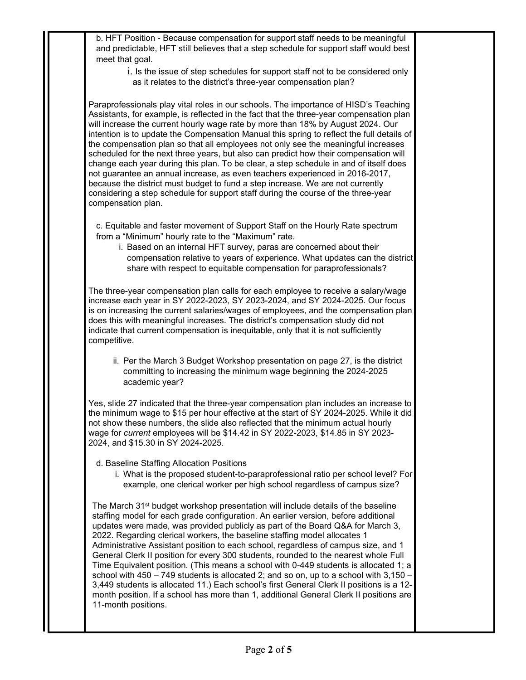b. HFT Position - Because compensation for support staff needs to be meaningful and predictable, HFT still believes that a step schedule for support staff would best meet that goal.

> i. Is the issue of step schedules for support staff not to be considered only as it relates to the district's three-year compensation plan?

Paraprofessionals play vital roles in our schools. The importance of HISD's Teaching Assistants, for example, is reflected in the fact that the three-year compensation plan will increase the current hourly wage rate by more than 18% by August 2024. Our intention is to update the Compensation Manual this spring to reflect the full details of the compensation plan so that all employees not only see the meaningful increases scheduled for the next three years, but also can predict how their compensation will change each year during this plan. To be clear, a step schedule in and of itself does not guarantee an annual increase, as even teachers experienced in 2016-2017, because the district must budget to fund a step increase. We are not currently considering a step schedule for support staff during the course of the three-year compensation plan.

c. Equitable and faster movement of Support Staff on the Hourly Rate spectrum from a "Minimum" hourly rate to the "Maximum" rate.

i. Based on an internal HFT survey, paras are concerned about their compensation relative to years of experience. What updates can the district share with respect to equitable compensation for paraprofessionals?

The three-year compensation plan calls for each employee to receive a salary/wage increase each year in SY 2022-2023, SY 2023-2024, and SY 2024-2025. Our focus is on increasing the current salaries/wages of employees, and the compensation plan does this with meaningful increases. The district's compensation study did not indicate that current compensation is inequitable, only that it is not sufficiently competitive.

ii. Per the March 3 Budget Workshop presentation on page 27, is the district committing to increasing the minimum wage beginning the 2024-2025 academic year?

Yes, slide 27 indicated that the three-year compensation plan includes an increase to the minimum wage to \$15 per hour effective at the start of SY 2024-2025. While it did not show these numbers, the slide also reflected that the minimum actual hourly wage for *current* employees will be \$14.42 in SY 2022-2023, \$14.85 in SY 2023- 2024, and \$15.30 in SY 2024-2025.

- d. Baseline Staffing Allocation Positions
	- i. What is the proposed student-to-paraprofessional ratio per school level? For example, one clerical worker per high school regardless of campus size?

The March 31<sup>st</sup> budget workshop presentation will include details of the baseline staffing model for each grade configuration. An earlier version, before additional updates were made, was provided publicly as part of the Board Q&A for March 3, 2022. Regarding clerical workers, the baseline staffing model allocates 1 Administrative Assistant position to each school, regardless of campus size, and 1 General Clerk II position for every 300 students, rounded to the nearest whole Full Time Equivalent position. (This means a school with 0-449 students is allocated 1; a school with 450 – 749 students is allocated 2; and so on, up to a school with 3,150 – 3,449 students is allocated 11.) Each school's first General Clerk II positions is a 12 month position. If a school has more than 1, additional General Clerk II positions are 11-month positions.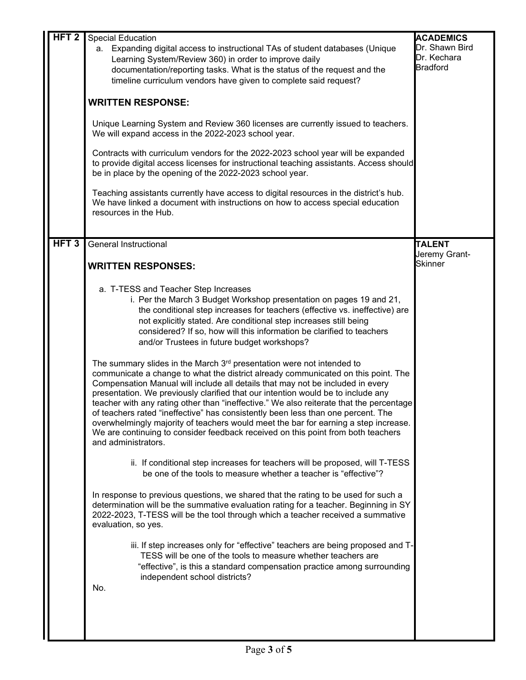| HFT <sub>2</sub> | <b>Special Education</b><br>a. Expanding digital access to instructional TAs of student databases (Unique                                                                                                                                                                                                                                                                                                                                                                                                                                                                                                                                                                                                                     | <b>ACADEMICS</b><br>Dr. Shawn Bird |
|------------------|-------------------------------------------------------------------------------------------------------------------------------------------------------------------------------------------------------------------------------------------------------------------------------------------------------------------------------------------------------------------------------------------------------------------------------------------------------------------------------------------------------------------------------------------------------------------------------------------------------------------------------------------------------------------------------------------------------------------------------|------------------------------------|
|                  | Learning System/Review 360) in order to improve daily<br>documentation/reporting tasks. What is the status of the request and the<br>timeline curriculum vendors have given to complete said request?                                                                                                                                                                                                                                                                                                                                                                                                                                                                                                                         | Dr. Kechara<br><b>Bradford</b>     |
|                  | <b>WRITTEN RESPONSE:</b>                                                                                                                                                                                                                                                                                                                                                                                                                                                                                                                                                                                                                                                                                                      |                                    |
|                  | Unique Learning System and Review 360 licenses are currently issued to teachers.<br>We will expand access in the 2022-2023 school year.                                                                                                                                                                                                                                                                                                                                                                                                                                                                                                                                                                                       |                                    |
|                  | Contracts with curriculum vendors for the 2022-2023 school year will be expanded<br>to provide digital access licenses for instructional teaching assistants. Access should<br>be in place by the opening of the 2022-2023 school year.                                                                                                                                                                                                                                                                                                                                                                                                                                                                                       |                                    |
|                  | Teaching assistants currently have access to digital resources in the district's hub.<br>We have linked a document with instructions on how to access special education<br>resources in the Hub.                                                                                                                                                                                                                                                                                                                                                                                                                                                                                                                              |                                    |
|                  |                                                                                                                                                                                                                                                                                                                                                                                                                                                                                                                                                                                                                                                                                                                               |                                    |
| HFT <sub>3</sub> | <b>General Instructional</b>                                                                                                                                                                                                                                                                                                                                                                                                                                                                                                                                                                                                                                                                                                  | <b>TALENT</b><br>Jeremy Grant-     |
|                  | <b>WRITTEN RESPONSES:</b>                                                                                                                                                                                                                                                                                                                                                                                                                                                                                                                                                                                                                                                                                                     | <b>Skinner</b>                     |
|                  | a. T-TESS and Teacher Step Increases<br>i. Per the March 3 Budget Workshop presentation on pages 19 and 21,<br>the conditional step increases for teachers (effective vs. ineffective) are<br>not explicitly stated. Are conditional step increases still being<br>considered? If so, how will this information be clarified to teachers<br>and/or Trustees in future budget workshops?                                                                                                                                                                                                                                                                                                                                       |                                    |
|                  | The summary slides in the March 3 <sup>rd</sup> presentation were not intended to<br>communicate a change to what the district already communicated on this point. The<br>Compensation Manual will include all details that may not be included in every<br>presentation. We previously clarified that our intention would be to include any<br>teacher with any rating other than "ineffective." We also reiterate that the percentage<br>of teachers rated "ineffective" has consistently been less than one percent. The<br>overwhelmingly majority of teachers would meet the bar for earning a step increase.<br>We are continuing to consider feedback received on this point from both teachers<br>and administrators. |                                    |
|                  | ii. If conditional step increases for teachers will be proposed, will T-TESS<br>be one of the tools to measure whether a teacher is "effective"?                                                                                                                                                                                                                                                                                                                                                                                                                                                                                                                                                                              |                                    |
|                  | In response to previous questions, we shared that the rating to be used for such a<br>determination will be the summative evaluation rating for a teacher. Beginning in SY<br>2022-2023, T-TESS will be the tool through which a teacher received a summative<br>evaluation, so yes.                                                                                                                                                                                                                                                                                                                                                                                                                                          |                                    |
|                  | iii. If step increases only for "effective" teachers are being proposed and T-<br>TESS will be one of the tools to measure whether teachers are<br>"effective", is this a standard compensation practice among surrounding<br>independent school districts?                                                                                                                                                                                                                                                                                                                                                                                                                                                                   |                                    |
|                  | No.                                                                                                                                                                                                                                                                                                                                                                                                                                                                                                                                                                                                                                                                                                                           |                                    |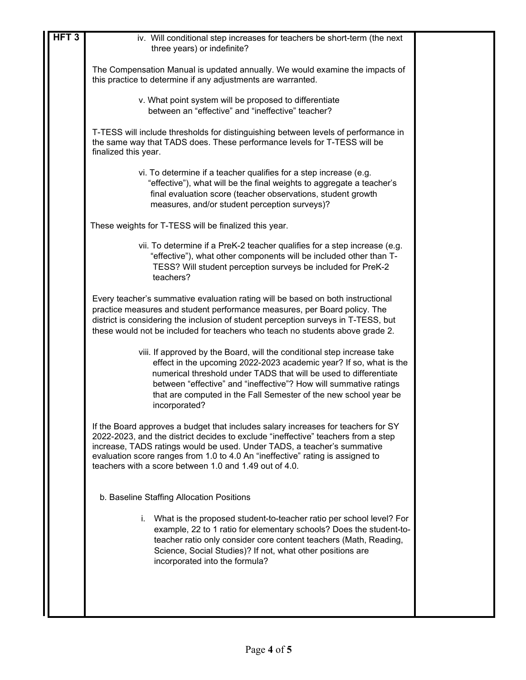| HFT3 | iv. Will conditional step increases for teachers be short-term (the next<br>three years) or indefinite?                                                                                                                                                                                                                                                                                       |  |
|------|-----------------------------------------------------------------------------------------------------------------------------------------------------------------------------------------------------------------------------------------------------------------------------------------------------------------------------------------------------------------------------------------------|--|
|      | The Compensation Manual is updated annually. We would examine the impacts of<br>this practice to determine if any adjustments are warranted.                                                                                                                                                                                                                                                  |  |
|      | v. What point system will be proposed to differentiate<br>between an "effective" and "ineffective" teacher?                                                                                                                                                                                                                                                                                   |  |
|      | T-TESS will include thresholds for distinguishing between levels of performance in<br>the same way that TADS does. These performance levels for T-TESS will be<br>finalized this year.                                                                                                                                                                                                        |  |
|      | vi. To determine if a teacher qualifies for a step increase (e.g.<br>"effective"), what will be the final weights to aggregate a teacher's<br>final evaluation score (teacher observations, student growth<br>measures, and/or student perception surveys)?                                                                                                                                   |  |
|      | These weights for T-TESS will be finalized this year.                                                                                                                                                                                                                                                                                                                                         |  |
|      | vii. To determine if a PreK-2 teacher qualifies for a step increase (e.g.<br>"effective"), what other components will be included other than T-<br>TESS? Will student perception surveys be included for PreK-2<br>teachers?                                                                                                                                                                  |  |
|      | Every teacher's summative evaluation rating will be based on both instructional<br>practice measures and student performance measures, per Board policy. The<br>district is considering the inclusion of student perception surveys in T-TESS, but<br>these would not be included for teachers who teach no students above grade 2.                                                           |  |
|      | viii. If approved by the Board, will the conditional step increase take<br>effect in the upcoming 2022-2023 academic year? If so, what is the<br>numerical threshold under TADS that will be used to differentiate<br>between "effective" and "ineffective"? How will summative ratings<br>that are computed in the Fall Semester of the new school year be<br>incorporated?                  |  |
|      | If the Board approves a budget that includes salary increases for teachers for SY<br>2022-2023, and the district decides to exclude "ineffective" teachers from a step<br>increase, TADS ratings would be used. Under TADS, a teacher's summative<br>evaluation score ranges from 1.0 to 4.0 An "ineffective" rating is assigned to<br>teachers with a score between 1.0 and 1.49 out of 4.0. |  |
|      | b. Baseline Staffing Allocation Positions                                                                                                                                                                                                                                                                                                                                                     |  |
|      | i. What is the proposed student-to-teacher ratio per school level? For<br>example, 22 to 1 ratio for elementary schools? Does the student-to-<br>teacher ratio only consider core content teachers (Math, Reading,<br>Science, Social Studies)? If not, what other positions are<br>incorporated into the formula?                                                                            |  |
|      |                                                                                                                                                                                                                                                                                                                                                                                               |  |